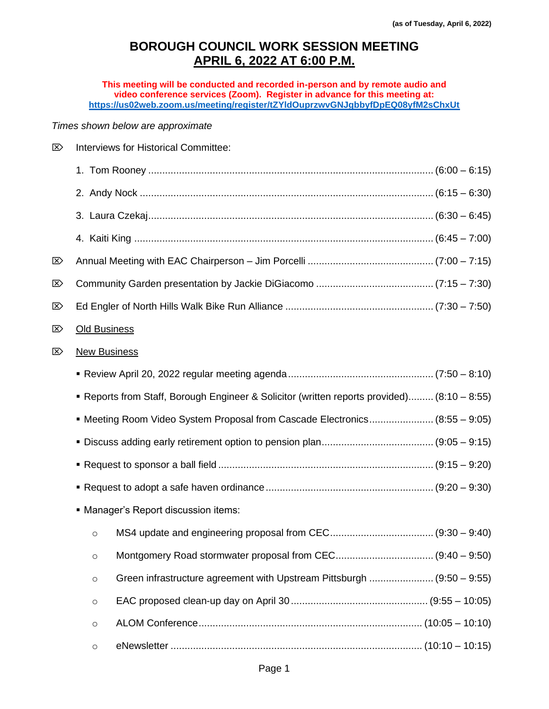## **BOROUGH COUNCIL WORK SESSION MEETING APRIL 6, 2022 AT 6:00 P.M.**

**This meeting will be conducted and recorded in-person and by remote audio and video conference services (Zoom). Register in advance for this meeting at: <https://us02web.zoom.us/meeting/register/tZYldOuprzwvGNJgbbyfDpEQ08yfM2sChxUt>**

## *Times shown below are approximate*

| ∑ |                                                                                           | Interviews for Historical Committee:                                   |  |  |  |
|---|-------------------------------------------------------------------------------------------|------------------------------------------------------------------------|--|--|--|
|   |                                                                                           |                                                                        |  |  |  |
|   |                                                                                           |                                                                        |  |  |  |
|   |                                                                                           |                                                                        |  |  |  |
|   |                                                                                           |                                                                        |  |  |  |
| ∑ |                                                                                           |                                                                        |  |  |  |
| ⊠ |                                                                                           |                                                                        |  |  |  |
| ⊠ |                                                                                           |                                                                        |  |  |  |
| ⊠ | <b>Old Business</b>                                                                       |                                                                        |  |  |  |
| ∑ | <b>New Business</b>                                                                       |                                                                        |  |  |  |
|   |                                                                                           |                                                                        |  |  |  |
|   | Reports from Staff, Borough Engineer & Solicitor (written reports provided) (8:10 - 8:55) |                                                                        |  |  |  |
|   | • Meeting Room Video System Proposal from Cascade Electronics (8:55 – 9:05)               |                                                                        |  |  |  |
|   |                                                                                           |                                                                        |  |  |  |
|   |                                                                                           |                                                                        |  |  |  |
|   |                                                                                           |                                                                        |  |  |  |
|   | • Manager's Report discussion items:                                                      |                                                                        |  |  |  |
|   | O                                                                                         |                                                                        |  |  |  |
|   | $\circ$                                                                                   |                                                                        |  |  |  |
|   | $\circ$                                                                                   | Green infrastructure agreement with Upstream Pittsburgh  (9:50 – 9:55) |  |  |  |
|   | $\circ$                                                                                   |                                                                        |  |  |  |
|   | $\circ$                                                                                   |                                                                        |  |  |  |
|   | $\circ$                                                                                   |                                                                        |  |  |  |